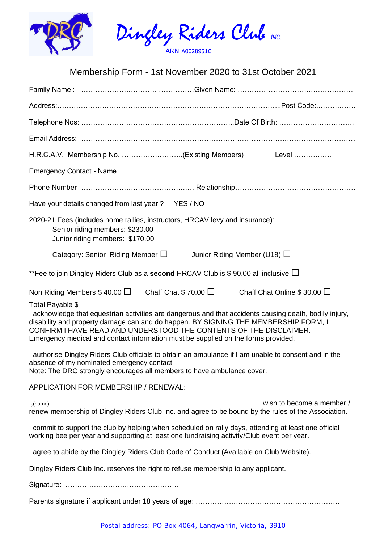

## Membership Form - 1st November 2020 to 31st October 2021

|                                                                                                                                                                                                                                                                                                                                                                               |                                                                                                                                                    |                           | H.R.C.A.V. Membership No. (Existing Members) Level                                                    |  |
|-------------------------------------------------------------------------------------------------------------------------------------------------------------------------------------------------------------------------------------------------------------------------------------------------------------------------------------------------------------------------------|----------------------------------------------------------------------------------------------------------------------------------------------------|---------------------------|-------------------------------------------------------------------------------------------------------|--|
|                                                                                                                                                                                                                                                                                                                                                                               |                                                                                                                                                    |                           |                                                                                                       |  |
|                                                                                                                                                                                                                                                                                                                                                                               |                                                                                                                                                    |                           |                                                                                                       |  |
|                                                                                                                                                                                                                                                                                                                                                                               | Have your details changed from last year? YES / NO                                                                                                 |                           |                                                                                                       |  |
|                                                                                                                                                                                                                                                                                                                                                                               | 2020-21 Fees (includes home rallies, instructors, HRCAV levy and insurance):<br>Senior riding members: \$230.00<br>Junior riding members: \$170.00 |                           |                                                                                                       |  |
|                                                                                                                                                                                                                                                                                                                                                                               | Category: Senior Riding Member $\Box$                                                                                                              |                           | Junior Riding Member (U18) $\Box$                                                                     |  |
| **Fee to join Dingley Riders Club as a second HRCAV Club is \$90.00 all inclusive $\Box$                                                                                                                                                                                                                                                                                      |                                                                                                                                                    |                           |                                                                                                       |  |
| Non Riding Members $$40.00$ $\Box$                                                                                                                                                                                                                                                                                                                                            |                                                                                                                                                    | Chaff Chat \$70.00 $\Box$ | Chaff Chat Online \$ 30.00 $\Box$                                                                     |  |
| Total Payable \$<br>I acknowledge that equestrian activities are dangerous and that accidents causing death, bodily injury,<br>disability and property damage can and do happen. BY SIGNING THE MEMBERSHIP FORM, I<br>CONFIRM I HAVE READ AND UNDERSTOOD THE CONTENTS OF THE DISCLAIMER.<br>Emergency medical and contact information must be supplied on the forms provided. |                                                                                                                                                    |                           |                                                                                                       |  |
| I authorise Dingley Riders Club officials to obtain an ambulance if I am unable to consent and in the<br>absence of my nominated emergency contact.<br>Note: The DRC strongly encourages all members to have ambulance cover.                                                                                                                                                 |                                                                                                                                                    |                           |                                                                                                       |  |
|                                                                                                                                                                                                                                                                                                                                                                               | APPLICATION FOR MEMBERSHIP / RENEWAL:                                                                                                              |                           |                                                                                                       |  |
|                                                                                                                                                                                                                                                                                                                                                                               |                                                                                                                                                    |                           | renew membership of Dingley Riders Club Inc. and agree to be bound by the rules of the Association.   |  |
|                                                                                                                                                                                                                                                                                                                                                                               | working bee per year and supporting at least one fundraising activity/Club event per year.                                                         |                           | I commit to support the club by helping when scheduled on rally days, attending at least one official |  |
|                                                                                                                                                                                                                                                                                                                                                                               | I agree to abide by the Dingley Riders Club Code of Conduct (Available on Club Website).                                                           |                           |                                                                                                       |  |
|                                                                                                                                                                                                                                                                                                                                                                               | Dingley Riders Club Inc. reserves the right to refuse membership to any applicant.                                                                 |                           |                                                                                                       |  |
|                                                                                                                                                                                                                                                                                                                                                                               |                                                                                                                                                    |                           |                                                                                                       |  |
|                                                                                                                                                                                                                                                                                                                                                                               |                                                                                                                                                    |                           |                                                                                                       |  |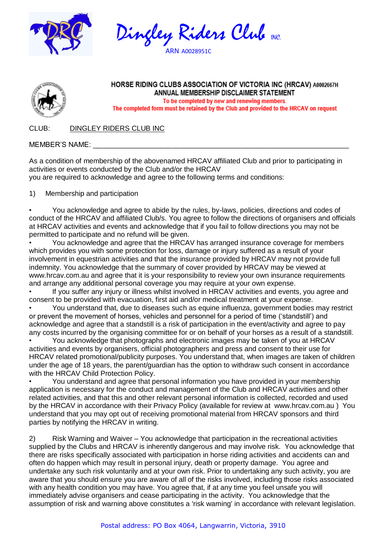





## HORSE RIDING CLUBS ASSOCIATION OF VICTORIA INC (HRCAV) A0002667H ANNUAL MEMBERSHIP DISCLAIMER STATEMENT To be completed by new and renewing members.

The completed form must be retained by the Club and provided to the HRCAV on request

CLUB: DINGLEY RIDERS CLUB INC

MEMBER'S NAME:

As a condition of membership of the abovenamed HRCAV affiliated Club and prior to participating in activities or events conducted by the Club and/or the HRCAV you are required to acknowledge and agree to the following terms and conditions:

1) Membership and participation

• You acknowledge and agree to abide by the rules, by-laws, policies, directions and codes of conduct of the HRCAV and affiliated Club/s. You agree to follow the directions of organisers and officials at HRCAV activities and events and acknowledge that if you fail to follow directions you may not be permitted to participate and no refund will be given.

• You acknowledge and agree that the HRCAV has arranged insurance coverage for members which provides you with some protection for loss, damage or injury suffered as a result of your involvement in equestrian activities and that the insurance provided by HRCAV may not provide full indemnity. You acknowledge that the summary of cover provided by HRCAV may be viewed at www.hrcav.com.au and agree that it is your responsibility to review your own insurance requirements and arrange any additional personal coverage you may require at your own expense.

If you suffer any injury or illness whilst involved in HRCAV activities and events, you agree and consent to be provided with evacuation, first aid and/or medical treatment at your expense.

• You understand that, due to diseases such as equine influenza, government bodies may restrict or prevent the movement of horses, vehicles and personnel for a period of time ('standstill') and acknowledge and agree that a standstill is a risk of participation in the event/activity and agree to pay any costs incurred by the organising committee for or on behalf of your horses as a result of a standstill.

• You acknowledge that photographs and electronic images may be taken of you at HRCAV activities and events by organisers, official photographers and press and consent to their use for HRCAV related promotional/publicity purposes. You understand that, when images are taken of children under the age of 18 years, the parent/guardian has the option to withdraw such consent in accordance with the HRCAV Child Protection Policy.

• You understand and agree that personal information you have provided in your membership application is necessary for the conduct and management of the Club and HRCAV activities and other related activities, and that this and other relevant personal information is collected, recorded and used by the HRCAV in accordance with their Privacy Policy (available for review at www.hrcav.com.au ) You understand that you may opt out of receiving promotional material from HRCAV sponsors and third parties by notifying the HRCAV in writing.

2) Risk Warning and Waiver – You acknowledge that participation in the recreational activities supplied by the Clubs and HRCAV is inherently dangerous and may involve risk. You acknowledge that there are risks specifically associated with participation in horse riding activities and accidents can and often do happen which may result in personal injury, death or property damage. You agree and undertake any such risk voluntarily and at your own risk. Prior to undertaking any such activity, you are aware that you should ensure you are aware of all of the risks involved, including those risks associated with any health condition you may have. You agree that, if at any time you feel unsafe you will immediately advise organisers and cease participating in the activity. You acknowledge that the assumption of risk and warning above constitutes a 'risk warning' in accordance with relevant legislation.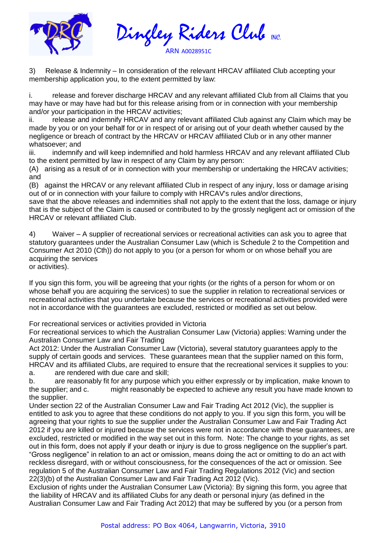

Dingley Riders Club NC. ARN A0028951C

3) Release & Indemnity – In consideration of the relevant HRCAV affiliated Club accepting your membership application you, to the extent permitted by law:

i. release and forever discharge HRCAV and any relevant affiliated Club from all Claims that you may have or may have had but for this release arising from or in connection with your membership and/or your participation in the HRCAV activities;

ii. release and indemnify HRCAV and any relevant affiliated Club against any Claim which may be made by you or on your behalf for or in respect of or arising out of your death whether caused by the negligence or breach of contract by the HRCAV or HRCAV affiliated Club or in any other manner whatsoever; and

iii. indemnify and will keep indemnified and hold harmless HRCAV and any relevant affiliated Club to the extent permitted by law in respect of any Claim by any person:

(A) arising as a result of or in connection with your membership or undertaking the HRCAV activities; and

(B) against the HRCAV or any relevant affiliated Club in respect of any injury, loss or damage arising out of or in connection with your failure to comply with HRCAV's rules and/or directions,

save that the above releases and indemnities shall not apply to the extent that the loss, damage or injury that is the subject of the Claim is caused or contributed to by the grossly negligent act or omission of the HRCAV or relevant affiliated Club.

4) Waiver – A supplier of recreational services or recreational activities can ask you to agree that statutory guarantees under the Australian Consumer Law (which is Schedule 2 to the Competition and Consumer Act 2010 (Cth)) do not apply to you (or a person for whom or on whose behalf you are acquiring the services

or activities).

If you sign this form, you will be agreeing that your rights (or the rights of a person for whom or on whose behalf you are acquiring the services) to sue the supplier in relation to recreational services or recreational activities that you undertake because the services or recreational activities provided were not in accordance with the guarantees are excluded, restricted or modified as set out below.

For recreational services or activities provided in Victoria

For recreational services to which the Australian Consumer Law (Victoria) applies: Warning under the Australian Consumer Law and Fair Trading

Act 2012: Under the Australian Consumer Law (Victoria), several statutory guarantees apply to the supply of certain goods and services. These guarantees mean that the supplier named on this form, HRCAV and its affiliated Clubs, are required to ensure that the recreational services it supplies to you:

a. are rendered with due care and skill;

b. are reasonably fit for any purpose which you either expressly or by implication, make known to the supplier; and c. might reasonably be expected to achieve any result you have made known to the supplier.

Under section 22 of the Australian Consumer Law and Fair Trading Act 2012 (Vic), the supplier is entitled to ask you to agree that these conditions do not apply to you. If you sign this form, you will be agreeing that your rights to sue the supplier under the Australian Consumer Law and Fair Trading Act 2012 if you are killed or injured because the services were not in accordance with these guarantees, are excluded, restricted or modified in the way set out in this form. Note: The change to your rights, as set out in this form, does not apply if your death or injury is due to gross negligence on the supplier's part. "Gross negligence" in relation to an act or omission, means doing the act or omitting to do an act with reckless disregard, with or without consciousness, for the consequences of the act or omission. See regulation 5 of the Australian Consumer Law and Fair Trading Regulations 2012 (Vic) and section 22(3)(b) of the Australian Consumer Law and Fair Trading Act 2012 (Vic).

Exclusion of rights under the Australian Consumer Law (Victoria): By signing this form, you agree that the liability of HRCAV and its affiliated Clubs for any death or personal injury (as defined in the Australian Consumer Law and Fair Trading Act 2012) that may be suffered by you (or a person from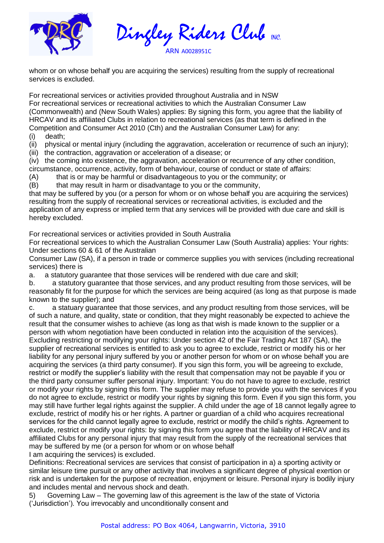

Dingley Riders Club NC. ARN A0028951C

whom or on whose behalf you are acquiring the services) resulting from the supply of recreational services is excluded.

For recreational services or activities provided throughout Australia and in NSW For recreational services or recreational activities to which the Australian Consumer Law (Commonwealth) and (New South Wales) applies: By signing this form, you agree that the liability of HRCAV and its affiliated Clubs in relation to recreational services (as that term is defined in the Competition and Consumer Act 2010 (Cth) and the Australian Consumer Law) for any:

(i) death;

(ii) physical or mental injury (including the aggravation, acceleration or recurrence of such an injury);

(iii) the contraction, aggravation or acceleration of a disease; or

(iv) the coming into existence, the aggravation, acceleration or recurrence of any other condition, circumstance, occurrence, activity, form of behaviour, course of conduct or state of affairs:

(A) that is or may be harmful or disadvantageous to you or the community; or

(B) that may result in harm or disadvantage to you or the community,

that may be suffered by you (or a person for whom or on whose behalf you are acquiring the services) resulting from the supply of recreational services or recreational activities, is excluded and the application of any express or implied term that any services will be provided with due care and skill is hereby excluded.

For recreational services or activities provided in South Australia

For recreational services to which the Australian Consumer Law (South Australia) applies: Your rights: Under sections 60 & 61 of the Australian

Consumer Law (SA), if a person in trade or commerce supplies you with services (including recreational services) there is

a. a statutory guarantee that those services will be rendered with due care and skill;

b. a statutory guarantee that those services, and any product resulting from those services, will be reasonably fit for the purpose for which the services are being acquired (as long as that purpose is made known to the supplier); and

c. a statuary guarantee that those services, and any product resulting from those services, will be of such a nature, and quality, state or condition, that they might reasonably be expected to achieve the result that the consumer wishes to achieve (as long as that wish is made known to the supplier or a person with whom negotiation have been conducted in relation into the acquisition of the services). Excluding restricting or modifying your rights: Under section 42 of the Fair Trading Act 187 (SA), the supplier of recreational services is entitled to ask you to agree to exclude, restrict or modify his or her liability for any personal injury suffered by you or another person for whom or on whose behalf you are acquiring the services (a third party consumer). If you sign this form, you will be agreeing to exclude, restrict or modify the supplier's liability with the result that compensation may not be payable if you or the third party consumer suffer personal injury. Important: You do not have to agree to exclude, restrict or modify your rights by signing this form. The supplier may refuse to provide you with the services if you do not agree to exclude, restrict or modify your rights by signing this form. Even if you sign this form, you may still have further legal rights against the supplier. A child under the age of 18 cannot legally agree to exclude, restrict of modify his or her rights. A partner or guardian of a child who acquires recreational services for the child cannot legally agree to exclude, restrict or modify the child's rights. Agreement to exclude, restrict or modify your rights: by signing this form you agree that the liability of HRCAV and its affiliated Clubs for any personal injury that may result from the supply of the recreational services that may be suffered by me (or a person for whom or on whose behalf

I am acquiring the services) is excluded.

Definitions: Recreational services are services that consist of participation in a) a sporting activity or similar leisure time pursuit or any other activity that involves a significant degree of physical exertion or risk and is undertaken for the purpose of recreation, enjoyment or leisure. Personal injury is bodily injury and includes mental and nervous shock and death.

5) Governing Law – The governing law of this agreement is the law of the state of Victoria ('Jurisdiction'). You irrevocably and unconditionally consent and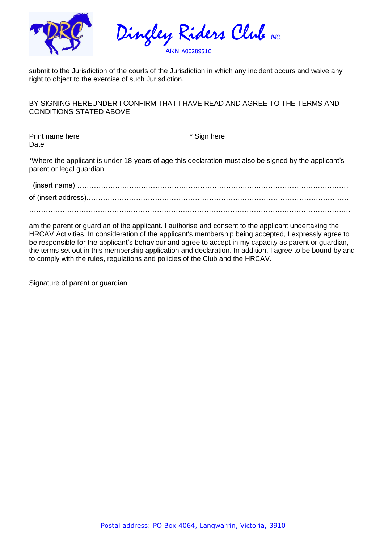

Dingley Riders Club NC. ARN A0028951C

submit to the Jurisdiction of the courts of the Jurisdiction in which any incident occurs and waive any right to object to the exercise of such Jurisdiction.

BY SIGNING HEREUNDER I CONFIRM THAT I HAVE READ AND AGREE TO THE TERMS AND CONDITIONS STATED ABOVE:

Print name here  $*$  Sign here Date

\*Where the applicant is under 18 years of age this declaration must also be signed by the applicant's parent or legal guardian:

am the parent or guardian of the applicant. I authorise and consent to the applicant undertaking the HRCAV Activities. In consideration of the applicant's membership being accepted, I expressly agree to be responsible for the applicant's behaviour and agree to accept in my capacity as parent or guardian, the terms set out in this membership application and declaration. In addition, I agree to be bound by and to comply with the rules, regulations and policies of the Club and the HRCAV.

Signature of parent or guardian……………………………………………………………………………..